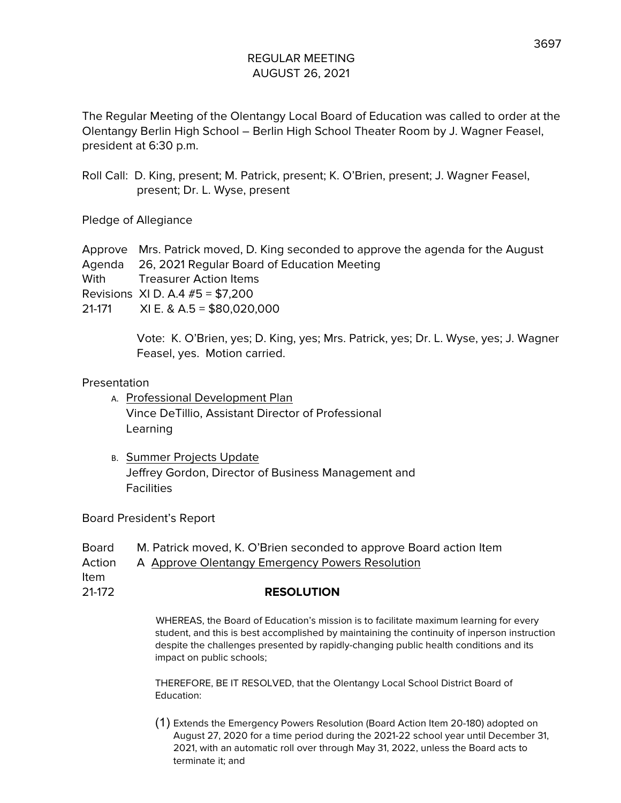The Regular Meeting of the Olentangy Local Board of Education was called to order at the Olentangy Berlin High School – Berlin High School Theater Room by J. Wagner Feasel, president at 6:30 p.m.

Roll Call: D. King, present; M. Patrick, present; K. O'Brien, present; J. Wagner Feasel, present; Dr. L. Wyse, present

Pledge of Allegiance

Approve Mrs. Patrick moved, D. King seconded to approve the agenda for the August Agenda 26, 2021 Regular Board of Education Meeting With **Treasurer Action Items** Revisions XI D. A.4 #5 = \$7,200 21-171 XI E. & A.5 = \$80,020,000

> Vote: K. O'Brien, yes; D. King, yes; Mrs. Patrick, yes; Dr. L. Wyse, yes; J. Wagner Feasel, yes. Motion carried.

#### Presentation

- A. Professional Development Plan Vince DeTillio, Assistant Director of Professional Learning
- B. Summer Projects Update Jeffrey Gordon, Director of Business Management and **Facilities**

Board President's Report

- Board M. Patrick moved, K. O'Brien seconded to approve Board action Item
- Action A Approve Olentangy Emergency Powers Resolution

Item

21-172 **RESOLUTION**

WHEREAS, the Board of Education's mission is to facilitate maximum learning for every student, and this is best accomplished by maintaining the continuity of inperson instruction despite the challenges presented by rapidly-changing public health conditions and its impact on public schools;

THEREFORE, BE IT RESOLVED, that the Olentangy Local School District Board of Education:

(1) Extends the Emergency Powers Resolution (Board Action Item 20-180) adopted on August 27, 2020 for a time period during the 2021-22 school year until December 31, 2021, with an automatic roll over through May 31, 2022, unless the Board acts to terminate it; and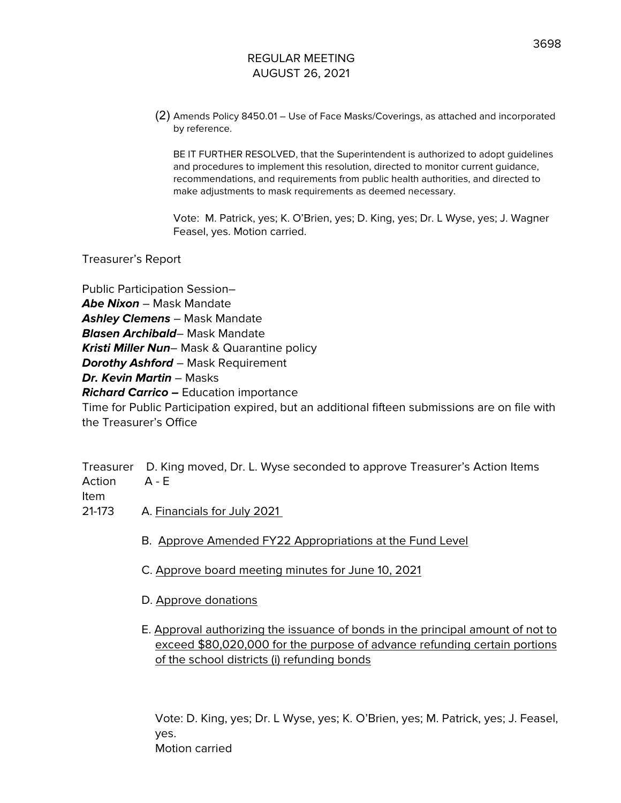(2) Amends Policy 8450.01 – Use of Face Masks/Coverings, as attached and incorporated by reference.

BE IT FURTHER RESOLVED, that the Superintendent is authorized to adopt guidelines and procedures to implement this resolution, directed to monitor current guidance, recommendations, and requirements from public health authorities, and directed to make adjustments to mask requirements as deemed necessary.

Vote: M. Patrick, yes; K. O'Brien, yes; D. King, yes; Dr. L Wyse, yes; J. Wagner Feasel, yes. Motion carried.

Treasurer's Report

Public Participation Session– **Abe Nixon** – Mask Mandate **Ashley Clemens** – Mask Mandate **Blasen Archibald**– Mask Mandate **Kristi Miller Nun**– Mask & Quarantine policy **Dorothy Ashford** – Mask Requirement **Dr. Kevin Martin** – Masks **Richard Carrico –** Education importance Time for Public Participation expired, but an additional fifteen submissions are on file with the Treasurer's Office

Treasurer D. King moved, Dr. L. Wyse seconded to approve Treasurer's Action Items Action A - E Item

21-173 A. Financials for July 2021

- B. Approve Amended FY22 Appropriations at the Fund Level
- C. Approve board meeting minutes for June 10, 2021
- D. Approve donations
- E. Approval authorizing the issuance of bonds in the principal amount of not to exceed \$80,020,000 for the purpose of advance refunding certain portions of the school districts (i) refunding bonds

Vote: D. King, yes; Dr. L Wyse, yes; K. O'Brien, yes; M. Patrick, yes; J. Feasel, yes. Motion carried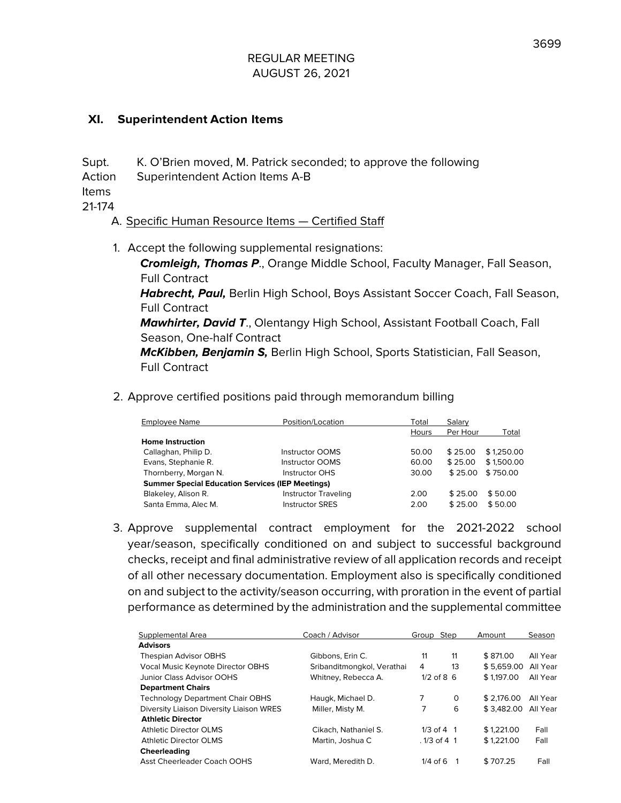### **XI. Superintendent Action Items**

Supt. K. O'Brien moved, M. Patrick seconded; to approve the following

Action Superintendent Action Items A-B

Items

21-174

## A. Specific Human Resource Items — Certified Staff

1. Accept the following supplemental resignations:

**Cromleigh, Thomas P**., Orange Middle School, Faculty Manager, Fall Season, Full Contract

**Habrecht, Paul,** Berlin High School, Boys Assistant Soccer Coach, Fall Season, Full Contract

**Mawhirter, David T**., Olentangy High School, Assistant Football Coach, Fall Season, One-half Contract

**McKibben, Benjamin S,** Berlin High School, Sports Statistician, Fall Season, Full Contract

2. Approve certified positions paid through memorandum billing

| <b>Employee Name</b>                                    | Position/Location           | Total | Salary   |            |  |
|---------------------------------------------------------|-----------------------------|-------|----------|------------|--|
|                                                         |                             | Hours | Per Hour | Total      |  |
| <b>Home Instruction</b>                                 |                             |       |          |            |  |
| Callaghan, Philip D.                                    | <b>Instructor OOMS</b>      | 50.00 | \$25.00  | \$1,250.00 |  |
| Evans, Stephanie R.                                     | <b>Instructor OOMS</b>      | 60.00 | \$25.00  | \$1,500.00 |  |
| Thornberry, Morgan N.                                   | <b>Instructor OHS</b>       | 30.00 | \$25.00  | \$750.00   |  |
| <b>Summer Special Education Services (IEP Meetings)</b> |                             |       |          |            |  |
| Blakeley, Alison R.                                     | <b>Instructor Traveling</b> | 2.00  | \$25.00  | \$50.00    |  |
| Santa Emma, Alec M.                                     | <b>Instructor SRES</b>      | 2.00  | \$25.00  | \$50.00    |  |

3. Approve supplemental contract employment for the 2021-2022 school year/season, specifically conditioned on and subject to successful background checks, receipt and final administrative review of all application records and receipt of all other necessary documentation. Employment also is specifically conditioned on and subject to the activity/season occurring, with proration in the event of partial performance as determined by the administration and the supplemental committee

| Supplemental Area                        | Coach / Advisor            | Group         | Step         | Amount     | Season   |
|------------------------------------------|----------------------------|---------------|--------------|------------|----------|
| <b>Advisors</b>                          |                            |               |              |            |          |
| Thespian Advisor OBHS                    | Gibbons, Erin C.           | 11            | 11           | \$871.00   | All Year |
| Vocal Music Keynote Director OBHS        | Sribanditmongkol, Verathai | 4             | 13           | \$5.659.00 | All Year |
| Junior Class Advisor OOHS                | Whitney, Rebecca A.        | $1/2$ of 8 6  |              | \$1,197.00 | All Year |
| <b>Department Chairs</b>                 |                            |               |              |            |          |
| <b>Technology Department Chair OBHS</b>  | Haugk, Michael D.          |               | $\Omega$     | \$2.176.00 | All Year |
| Diversity Liaison Diversity Liaison WRES | Miller, Misty M.           | 7             | 6            | \$3,482.00 | All Year |
| <b>Athletic Director</b>                 |                            |               |              |            |          |
| <b>Athletic Director OLMS</b>            | Cikach, Nathaniel S.       |               | $1/3$ of 4 1 | \$1.221.00 | Fall     |
| <b>Athletic Director OLMS</b>            | Martin, Joshua C           | $.1/3$ of 4 1 |              | \$1.221.00 | Fall     |
| Cheerleading                             |                            |               |              |            |          |
| <b>Asst Cheerleader Coach OOHS</b>       | Ward, Meredith D.          | $1/4$ of 6    |              | \$707.25   | Fall     |
|                                          |                            |               |              |            |          |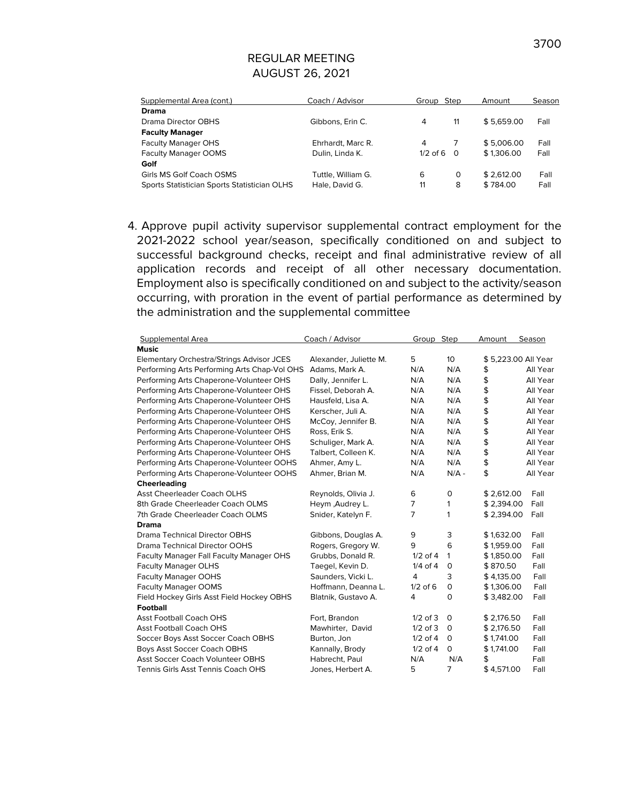| Supplemental Area (cont.)                    | Coach / Advisor    | Group Step   | Amount     | Season |
|----------------------------------------------|--------------------|--------------|------------|--------|
| Drama                                        |                    |              |            |        |
| Drama Director OBHS                          | Gibbons, Erin C.   | 11<br>4      | \$5.659.00 | Fall   |
| <b>Faculty Manager</b>                       |                    |              |            |        |
| <b>Faculty Manager OHS</b>                   | Ehrhardt, Marc R.  | 4            | \$5.006.00 | Fall   |
| <b>Faculty Manager OOMS</b>                  | Dulin, Linda K.    | $1/2$ of 6 0 | \$1,306.00 | Fall   |
| Golf                                         |                    |              |            |        |
| Girls MS Golf Coach OSMS                     | Tuttle, William G. | 6<br>0       | \$2.612.00 | Fall   |
| Sports Statistician Sports Statistician OLHS | Hale, David G.     | 11<br>8      | \$784.00   | Fall   |
|                                              |                    |              |            |        |

4. Approve pupil activity supervisor supplemental contract employment for the 2021-2022 school year/season, specifically conditioned on and subject to successful background checks, receipt and final administrative review of all application records and receipt of all other necessary documentation. Employment also is specifically conditioned on and subject to the activity/season occurring, with proration in the event of partial performance as determined by the administration and the supplemental committee

| Supplemental Area                            | Coach / Advisor        | Group Step     |                 | Amount     | Season              |
|----------------------------------------------|------------------------|----------------|-----------------|------------|---------------------|
| <b>Music</b>                                 |                        |                |                 |            |                     |
| Elementary Orchestra/Strings Advisor JCES    | Alexander, Juliette M. | 5              | 10 <sup>2</sup> |            | \$5,223.00 All Year |
| Performing Arts Performing Arts Chap-Vol OHS | Adams, Mark A.         | N/A            | N/A             | \$         | All Year            |
| Performing Arts Chaperone-Volunteer OHS      | Dally, Jennifer L.     | N/A            | N/A             | \$         | All Year            |
| Performing Arts Chaperone-Volunteer OHS      | Fissel, Deborah A.     | N/A            | N/A             | \$         | All Year            |
| Performing Arts Chaperone-Volunteer OHS      | Hausfeld, Lisa A.      | N/A            | N/A             | \$         | All Year            |
| Performing Arts Chaperone-Volunteer OHS      | Kerscher, Juli A.      | N/A            | N/A             | \$         | All Year            |
| Performing Arts Chaperone-Volunteer OHS      | McCoy, Jennifer B.     | N/A            | N/A             | \$         | All Year            |
| Performing Arts Chaperone-Volunteer OHS      | Ross, Erik S.          | N/A            | N/A             | \$         | All Year            |
| Performing Arts Chaperone-Volunteer OHS      | Schuliger, Mark A.     | N/A            | N/A             | \$         | All Year            |
| Performing Arts Chaperone-Volunteer OHS      | Talbert, Colleen K.    | N/A            | N/A             | \$         | All Year            |
| Performing Arts Chaperone-Volunteer OOHS     | Ahmer, Amy L.          | N/A            | N/A             | \$         | All Year            |
| Performing Arts Chaperone-Volunteer OOHS     | Ahmer, Brian M.        | N/A            | $N/A -$         | \$         | All Year            |
| <b>Cheerleading</b>                          |                        |                |                 |            |                     |
| <b>Asst Cheerleader Coach OLHS</b>           | Reynolds, Olivia J.    | 6              | 0               | \$2,612.00 | Fall                |
| 8th Grade Cheerleader Coach OLMS             | Heym, Audrey L.        | 7              | 1               | \$2,394.00 | Fall                |
| 7th Grade Cheerleader Coach OLMS             | Snider, Katelyn F.     | $\overline{7}$ | 1               | \$2,394.00 | Fall                |
| Drama                                        |                        |                |                 |            |                     |
| <b>Drama Technical Director OBHS</b>         | Gibbons, Douglas A.    | 9              | 3               | \$1,632.00 | Fall                |
| Drama Technical Director OOHS                | Rogers, Gregory W.     | 9              | 6               | \$1,959.00 | Fall                |
| Faculty Manager Fall Faculty Manager OHS     | Grubbs, Donald R.      | $1/2$ of 4     | 1               | \$1,850.00 | Fall                |
| <b>Faculty Manager OLHS</b>                  | Taegel, Kevin D.       | $1/4$ of $4$   | 0               | \$870.50   | Fall                |
| <b>Faculty Manager OOHS</b>                  | Saunders, Vicki L.     | 4              | 3               | \$4,135.00 | Fall                |
| <b>Faculty Manager OOMS</b>                  | Hoffmann, Deanna L.    | $1/2$ of $6$   | 0               | \$1,306.00 | Fall                |
| Field Hockey Girls Asst Field Hockey OBHS    | Blatnik, Gustavo A.    | $\overline{4}$ | $\circ$         | \$3,482.00 | Fall                |
| <b>Football</b>                              |                        |                |                 |            |                     |
| <b>Asst Football Coach OHS</b>               | Fort, Brandon          | $1/2$ of 3     | 0               | \$2,176.50 | Fall                |
| <b>Asst Football Coach OHS</b>               | Mawhirter, David       | $1/2$ of 3     | 0               | \$2,176.50 | Fall                |
| Soccer Boys Asst Soccer Coach OBHS           | Burton, Jon            | $1/2$ of $4$   | 0               | \$1.741.00 | Fall                |
| <b>Boys Asst Soccer Coach OBHS</b>           | Kannally, Brody        | $1/2$ of 4     | 0               | \$1.741.00 | Fall                |
| Asst Soccer Coach Volunteer OBHS             | Habrecht, Paul         | N/A            | N/A             |            | Fall                |
| Tennis Girls Asst Tennis Coach OHS           | Jones, Herbert A.      | 5              | 7               | \$4,571.00 | Fall                |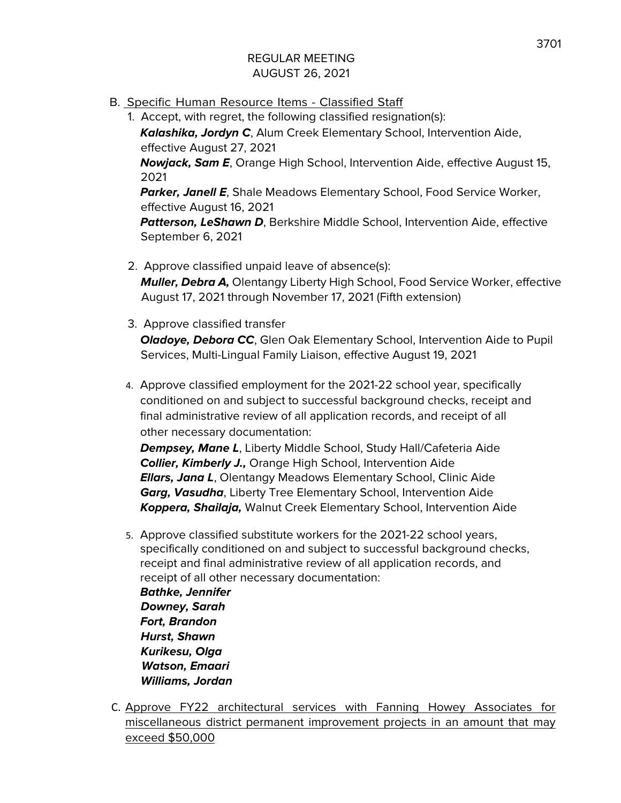B. Specific Human Resource Items - Classified Staff

1. Accept, with regret, the following classified resignation(s): **Kalashika, Jordyn C**, Alum Creek Elementary School, Intervention Aide, effective August 27, 2021 **Nowjack, Sam E**, Orange High School, Intervention Aide, effective August 15, 2021 **Parker, Janell E**, Shale Meadows Elementary School, Food Service Worker, effective August 16, 2021 **Patterson, LeShawn D**, Berkshire Middle School, Intervention Aide, effective September 6, 2021

- 2. Approve classified unpaid leave of absence(s): **Muller, Debra A,** Olentangy Liberty High School, Food Service Worker, effective August 17, 2021 through November 17, 2021 (Fifth extension)
- 3. Approve classified transfer **Oladoye, Debora CC**, Glen Oak Elementary School, Intervention Aide to Pupil Services, Multi-Lingual Family Liaison, effective August 19, 2021
- 4. Approve classified employment for the 2021-22 school year, specifically conditioned on and subject to successful background checks, receipt and final administrative review of all application records, and receipt of all other necessary documentation:

**Dempsey, Mane L**, Liberty Middle School, Study Hall/Cafeteria Aide **Collier, Kimberly J.,** Orange High School, Intervention Aide **Ellars, Jana L**, Olentangy Meadows Elementary School, Clinic Aide **Garg, Vasudha**, Liberty Tree Elementary School, Intervention Aide **Koppera, Shailaja,** Walnut Creek Elementary School, Intervention Aide

5. Approve classified substitute workers for the 2021-22 school years, specifically conditioned on and subject to successful background checks, receipt and final administrative review of all application records, and receipt of all other necessary documentation:

**Bathke, Jennifer Downey, Sarah Fort, Brandon Hurst, Shawn Kurikesu, Olga Watson, Emaari Williams, Jordan**

C. Approve FY22 architectural services with Fanning Howey Associates for miscellaneous district permanent improvement projects in an amount that may exceed \$50,000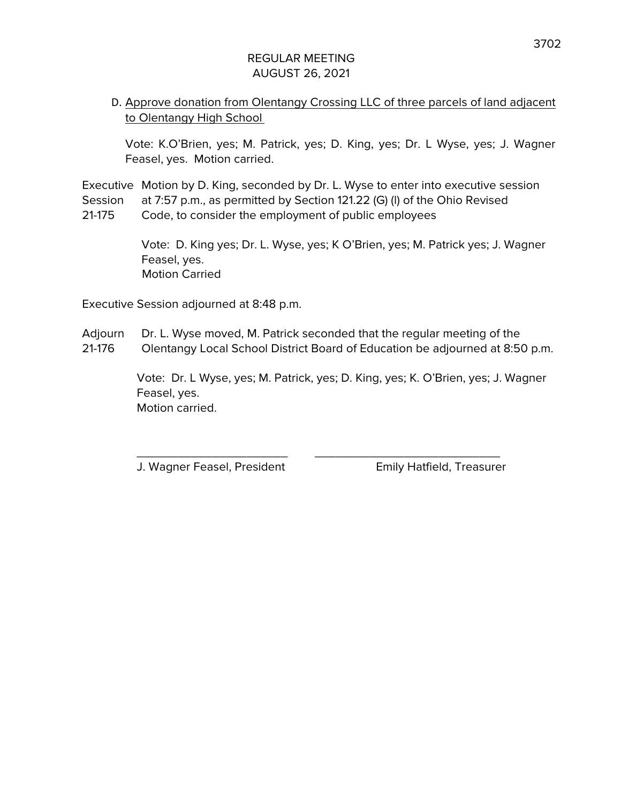# D. Approve donation from Olentangy Crossing LLC of three parcels of land adjacent to Olentangy High School

Vote: K.O'Brien, yes; M. Patrick, yes; D. King, yes; Dr. L Wyse, yes; J. Wagner Feasel, yes. Motion carried.

Executive Motion by D. King, seconded by Dr. L. Wyse to enter into executive session Session at 7:57 p.m., as permitted by Section 121.22 (G) (l) of the Ohio Revised 21-175 Code, to consider the employment of public employees

> Vote: D. King yes; Dr. L. Wyse, yes; K O'Brien, yes; M. Patrick yes; J. Wagner Feasel, yes. Motion Carried

Executive Session adjourned at 8:48 p.m.

Adjourn Dr. L. Wyse moved, M. Patrick seconded that the regular meeting of the 21-176 Olentangy Local School District Board of Education be adjourned at 8:50 p.m.

\_\_\_\_\_\_\_\_\_\_\_\_\_\_\_\_\_\_\_\_\_\_ \_\_\_\_\_\_\_\_\_\_\_\_\_\_\_\_\_\_\_\_\_\_\_\_\_\_\_

Vote: Dr. L Wyse, yes; M. Patrick, yes; D. King, yes; K. O'Brien, yes; J. Wagner Feasel, yes. Motion carried.

J. Wagner Feasel, President Emily Hatfield, Treasurer